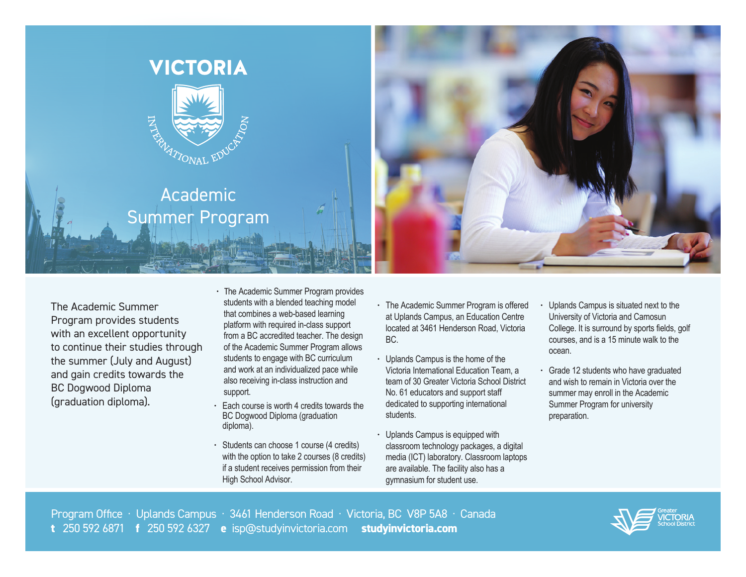

The Academic Summer Program provides students with an excellent opportunity to continue their studies through the summer (July and August) and gain credits towards the BC Dogwood Diploma (graduation diploma).

- The Academic Summer Program provides students with a blended teaching model that combines a web-based learning platform with required in-class support from a BC accredited teacher. The design of the Academic Summer Program allows students to engage with BC curriculum and work at an individualized pace while also receiving in-class instruction and support.
- Each course is worth 4 credits towards the BC Dogwood Diploma (graduation diploma).
- Students can choose 1 course (4 credits) with the option to take 2 courses (8 credits) if a student receives permission from their High School Advisor.
- The Academic Summer Program is offered at Uplands Campus, an Education Centre located at 3461 Henderson Road, Victoria BC.
- Uplands Campus is the home of the Victoria International Education Team, a team of 30 Greater Victoria School District No. 61 educators and support staff dedicated to supporting international students.
- Uplands Campus is equipped with classroom technology packages, a digital media (ICT) laboratory. Classroom laptops are available. The facility also has a gymnasium for student use.
- Uplands Campus is situated next to the University of Victoria and Camosun College. It is surround by sports fields, golf courses, and is a 15 minute walk to the ocean.
- Grade 12 students who have graduated and wish to remain in Victoria over the summer may enroll in the Academic Summer Program for university preparation.

Program Office · Uplands Campus · 3461 Henderson Road · Victoria, BC V8P 5A8 · Canada **t** 250 592 6871 **f** 250 592 6327 **e** isp@studyinvictoria.com **studyinvictoria.com**